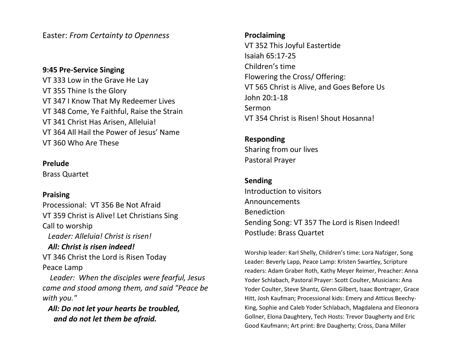Easter: *From Certainty to Openness*

# **9:45 Pre-Service Singing**

VT 333 Low in the Grave He Lay VT 355 Thine Is the Glory VT 347 I Know That My Redeemer Lives VT 348 Come, Ye Faithful, Raise the Strain VT 341 Christ Has Arisen, Alleluia! VT 364 All Hail the Power of Jesus' Name VT 360 Who Are These

#### **Prelude**

Brass Quartet

# **Praising**

Processional: VT 356 Be Not Afraid VT 359 Christ is Alive! Let Christians Sing Call to worship  *Leader: Alleluia! Christ is risen! All: Christ is risen indeed!* VT 346 Christ the Lord is Risen Today Peace Lamp

 *Leader: When the disciples were fearful, Jesus came and stood among them, and said "Peace be with you."* 

 *All: Do not let your hearts be troubled, and do not let them be afraid.*

### **Proclaiming**

VT 352 This Joyful Eastertide Isaiah 65:17-25 Children's time Flowering the Cross/ Offering: VT 565 Christ is Alive, and Goes Before Us John 20:1-18 Sermon VT 354 Christ is Risen! Shout Hosanna!

# **Responding**

Sharing from our lives Pastoral Prayer

# **Sending**

Introduction to visitors Announcements Benediction Sending Song: VT 357 The Lord is Risen Indeed! Postlude: Brass Quartet

Worship leader: Karl Shelly, Children's time: Lora Nafziger, Song Leader: Beverly Lapp, Peace Lamp: Kristen Swartley, Scripture readers: Adam Graber Roth, Kathy Meyer Reimer, Preacher: Anna Yoder Schlabach, Pastoral Prayer: Scott Coulter, Musicians: Ana Yoder Coulter, Steve Shantz, Glenn Gilbert, Isaac Bontrager, Grace Hitt, Josh Kaufman; Processional kids: Emery and Atticus Beechy-King, Sophie and Caleb Yoder Schlabach, Magdalena and Eleonora Gollner, Elona Daughtery, Tech Hosts: Trevor Daugherty and Eric Good Kaufmann; Art print: Bre Daugherty; Cross, Dana Miller